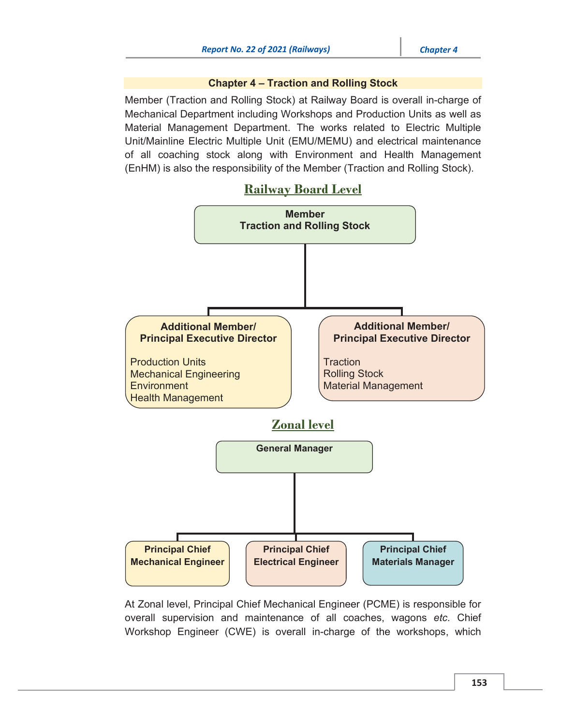## Chapter 4 – Traction and Rolling Stock

Member (Traction and Rolling Stock) at Railway Board is overall in-charge of Mechanical Department including Workshops and Production Units as well as Material Management Department. The works related to Electric Multiple Unit/Mainline Electric Multiple Unit (EMU/MEMU) and electrical maintenance of all coaching stock along with Environment and Health Management (EnHM) is also the responsibility of the Member (Traction and Rolling Stock).

# Railway Board Level



At Zonal level, Principal Chief Mechanical Engineer (PCME) is responsible for overall supervision and maintenance of all coaches, wagons *etc.* Chief Workshop Engineer (CWE) is overall in-charge of the workshops, which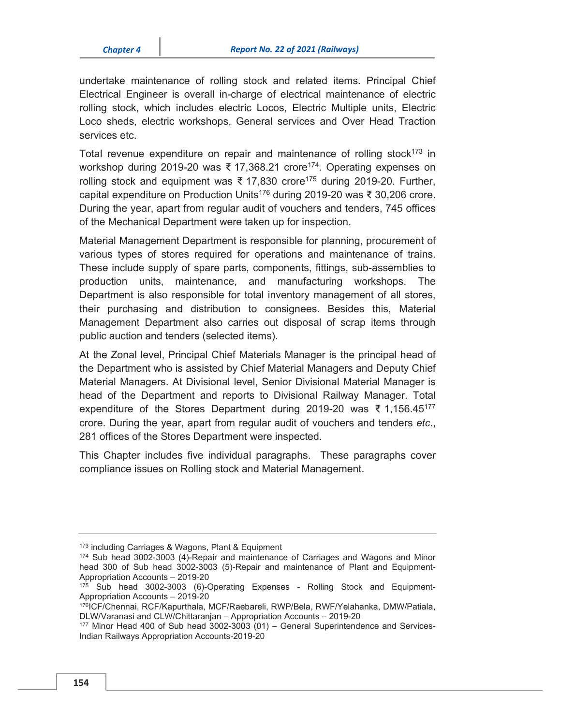undertake maintenance of rolling stock and related items. Principal Chief Electrical Engineer is overall in-charge of electrical maintenance of electric rolling stock, which includes electric Locos, Electric Multiple units, Electric Loco sheds, electric workshops, General services and Over Head Traction services etc.

Total revenue expenditure on repair and maintenance of rolling stock<sup>173</sup> in workshop during 2019-20 was ₹ 17,368.21 crore<sup>174</sup>. Operating expenses on rolling stock and equipment was ₹ 17,830 crore<sup>175</sup> during 2019-20. Further, capital expenditure on Production Units176 during 2019-20 was ₹ 30,206 crore. During the year, apart from regular audit of vouchers and tenders, 745 offices of the Mechanical Department were taken up for inspection.

Material Management Department is responsible for planning, procurement of various types of stores required for operations and maintenance of trains. These include supply of spare parts, components, fittings, sub-assemblies to production units, maintenance, and manufacturing workshops. The Department is also responsible for total inventory management of all stores, their purchasing and distribution to consignees. Besides this, Material Management Department also carries out disposal of scrap items through public auction and tenders (selected items).

At the Zonal level, Principal Chief Materials Manager is the principal head of the Department who is assisted by Chief Material Managers and Deputy Chief Material Managers. At Divisional level, Senior Divisional Material Manager is head of the Department and reports to Divisional Railway Manager. Total expenditure of the Stores Department during 2019-20 was ₹ 1,156.45177 crore. During the year, apart from regular audit of vouchers and tenders *etc*., 281 offices of the Stores Department were inspected.

This Chapter includes five individual paragraphs. These paragraphs cover compliance issues on Rolling stock and Material Management.

<sup>&</sup>lt;sup>173</sup> including Carriages & Wagons, Plant & Equipment<br><sup>174</sup> Sub head 3002-3003 (4)-Repair and maintenance of Carriages and Wagons and Minor head 300 of Sub head 3002-3003 (5)-Repair and maintenance of Plant and Equipment-Appropriation Accounts – 2019-20

<sup>&</sup>lt;sup>175</sup> Sub head 3002-3003 (6)-Operating Expenses - Rolling Stock and Equipment-Appropriation Accounts – 2019-20

<sup>176</sup>ICF/Chennai, RCF/Kapurthala, MCF/Raebareli, RWP/Bela, RWF/Yelahanka, DMW/Patiala, DLW/Varanasi and CLW/Chittaranjan – Appropriation Accounts – 2019-20<br><sup>177</sup> Minor Head 400 of Sub head 3002-3003 (01) – General Superintendence and Services-

Indian Railways Appropriation Accounts-2019-20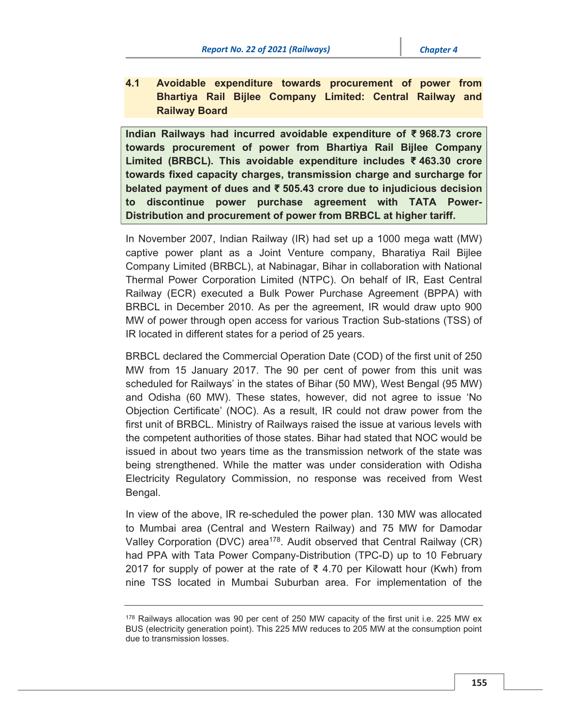4.1 Avoidable expenditure towards procurement of power from Bhartiya Rail Bijlee Company Limited: Central Railway and Railway Board

Indian Railways had incurred avoidable expenditure of ₹ 968.73 crore towards procurement of power from Bhartiya Rail Bijlee Company Limited (BRBCL). This avoidable expenditure includes ₹ 463.30 crore towards fixed capacity charges, transmission charge and surcharge for belated payment of dues and ₹ 505.43 crore due to injudicious decision to discontinue power purchase agreement with TATA Power-Distribution and procurement of power from BRBCL at higher tariff.

In November 2007, Indian Railway (IR) had set up a 1000 mega watt (MW) captive power plant as a Joint Venture company, Bharatiya Rail Bijlee Company Limited (BRBCL), at Nabinagar, Bihar in collaboration with National Thermal Power Corporation Limited (NTPC). On behalf of IR, East Central Railway (ECR) executed a Bulk Power Purchase Agreement (BPPA) with BRBCL in December 2010. As per the agreement, IR would draw upto 900 MW of power through open access for various Traction Sub-stations (TSS) of IR located in different states for a period of 25 years.

BRBCL declared the Commercial Operation Date (COD) of the first unit of 250 MW from 15 January 2017. The 90 per cent of power from this unit was scheduled for Railways' in the states of Bihar (50 MW), West Bengal (95 MW) and Odisha (60 MW). These states, however, did not agree to issue 'No Objection Certificate' (NOC). As a result, IR could not draw power from the first unit of BRBCL. Ministry of Railways raised the issue at various levels with the competent authorities of those states. Bihar had stated that NOC would be issued in about two years time as the transmission network of the state was being strengthened. While the matter was under consideration with Odisha Electricity Regulatory Commission, no response was received from West Bengal.

In view of the above, IR re-scheduled the power plan. 130 MW was allocated to Mumbai area (Central and Western Railway) and 75 MW for Damodar Valley Corporation (DVC) area<sup>178</sup>. Audit observed that Central Railway (CR) had PPA with Tata Power Company-Distribution (TPC-D) up to 10 February 2017 for supply of power at the rate of  $\bar{\tau}$  4.70 per Kilowatt hour (Kwh) from nine TSS located in Mumbai Suburban area. For implementation of the

<sup>178</sup> Railways allocation was 90 per cent of 250 MW capacity of the first unit i.e. 225 MW ex BUS (electricity generation point). This 225 MW reduces to 205 MW at the consumption point due to transmission losses.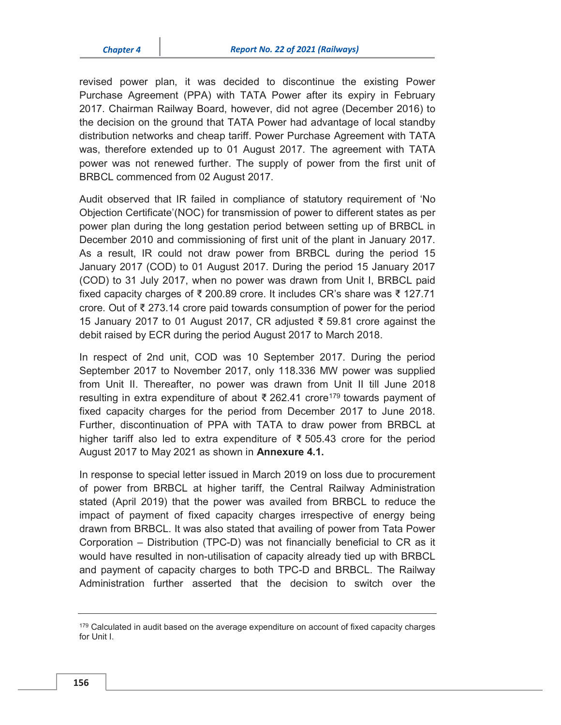revised power plan, it was decided to discontinue the existing Power Purchase Agreement (PPA) with TATA Power after its expiry in February 2017. Chairman Railway Board, however, did not agree (December 2016) to the decision on the ground that TATA Power had advantage of local standby distribution networks and cheap tariff. Power Purchase Agreement with TATA was, therefore extended up to 01 August 2017. The agreement with TATA power was not renewed further. The supply of power from the first unit of BRBCL commenced from 02 August 2017.

Audit observed that IR failed in compliance of statutory requirement of 'No Objection Certificate'(NOC) for transmission of power to different states as per power plan during the long gestation period between setting up of BRBCL in December 2010 and commissioning of first unit of the plant in January 2017. As a result, IR could not draw power from BRBCL during the period 15 January 2017 (COD) to 01 August 2017. During the period 15 January 2017 (COD) to 31 July 2017, when no power was drawn from Unit I, BRBCL paid fixed capacity charges of ₹ 200.89 crore. It includes CR's share was ₹ 127.71 crore. Out of ₹ 273.14 crore paid towards consumption of power for the period 15 January 2017 to 01 August 2017, CR adjusted ₹ 59.81 crore against the debit raised by ECR during the period August 2017 to March 2018.

In respect of 2nd unit, COD was 10 September 2017. During the period September 2017 to November 2017, only 118.336 MW power was supplied from Unit II. Thereafter, no power was drawn from Unit II till June 2018 resulting in extra expenditure of about ₹ 262.41 crore<sup>179</sup> towards payment of fixed capacity charges for the period from December 2017 to June 2018. Further, discontinuation of PPA with TATA to draw power from BRBCL at higher tariff also led to extra expenditure of ₹ 505.43 crore for the period August 2017 to May 2021 as shown in Annexure 4.1.

In response to special letter issued in March 2019 on loss due to procurement of power from BRBCL at higher tariff, the Central Railway Administration stated (April 2019) that the power was availed from BRBCL to reduce the impact of payment of fixed capacity charges irrespective of energy being drawn from BRBCL. It was also stated that availing of power from Tata Power Corporation – Distribution (TPC-D) was not financially beneficial to CR as it would have resulted in non-utilisation of capacity already tied up with BRBCL and payment of capacity charges to both TPC-D and BRBCL. The Railway Administration further asserted that the decision to switch over the

<sup>&</sup>lt;sup>179</sup> Calculated in audit based on the average expenditure on account of fixed capacity charges for Unit I.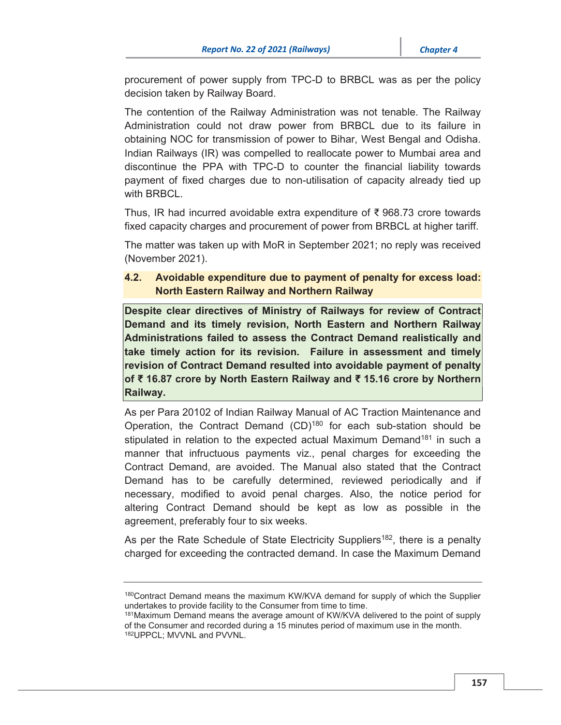procurement of power supply from TPC-D to BRBCL was as per the policy decision taken by Railway Board.

The contention of the Railway Administration was not tenable. The Railway Administration could not draw power from BRBCL due to its failure in obtaining NOC for transmission of power to Bihar, West Bengal and Odisha. Indian Railways (IR) was compelled to reallocate power to Mumbai area and discontinue the PPA with TPC-D to counter the financial liability towards payment of fixed charges due to non-utilisation of capacity already tied up with BRBCL.

Thus, IR had incurred avoidable extra expenditure of ₹ 968.73 crore towards fixed capacity charges and procurement of power from BRBCL at higher tariff.

The matter was taken up with MoR in September 2021; no reply was received (November 2021).

# 4.2. Avoidable expenditure due to payment of penalty for excess load: North Eastern Railway and Northern Railway

Despite clear directives of Ministry of Railways for review of Contract Demand and its timely revision, North Eastern and Northern Railway Administrations failed to assess the Contract Demand realistically and take timely action for its revision. Failure in assessment and timely revision of Contract Demand resulted into avoidable payment of penalty of ₹ 16.87 crore by North Eastern Railway and ₹ 15.16 crore by Northern Railway.

As per Para 20102 of Indian Railway Manual of AC Traction Maintenance and Operation, the Contract Demand (CD)<sup>180</sup> for each sub-station should be stipulated in relation to the expected actual Maximum Demand<sup>181</sup> in such a manner that infructuous payments viz., penal charges for exceeding the Contract Demand, are avoided. The Manual also stated that the Contract Demand has to be carefully determined, reviewed periodically and if necessary, modified to avoid penal charges. Also, the notice period for altering Contract Demand should be kept as low as possible in the agreement, preferably four to six weeks.

As per the Rate Schedule of State Electricity Suppliers<sup>182</sup>, there is a penalty charged for exceeding the contracted demand. In case the Maximum Demand

<sup>180</sup>Contract Demand means the maximum KW/KVA demand for supply of which the Supplier undertakes to provide facility to the Consumer from time to time.<br><sup>181</sup>Maximum Demand means the average amount of KW/KVA delivered to the point of supply

of the Consumer and recorded during a 15 minutes period of maximum use in the month. 182UPPCL; MVVNL and PVVNL.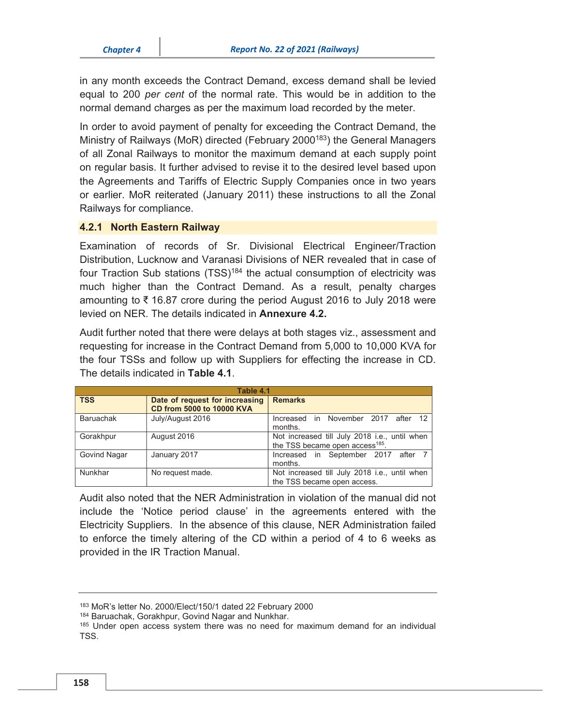in any month exceeds the Contract Demand, excess demand shall be levied equal to 200 *per cent* of the normal rate. This would be in addition to the normal demand charges as per the maximum load recorded by the meter.

In order to avoid payment of penalty for exceeding the Contract Demand, the Ministry of Railways (MoR) directed (February 2000<sup>183</sup>) the General Managers of all Zonal Railways to monitor the maximum demand at each supply point on regular basis. It further advised to revise it to the desired level based upon the Agreements and Tariffs of Electric Supply Companies once in two years or earlier. MoR reiterated (January 2011) these instructions to all the Zonal Railways for compliance.

#### 4.2.1 North Eastern Railway

Examination of records of Sr. Divisional Electrical Engineer/Traction Distribution, Lucknow and Varanasi Divisions of NER revealed that in case of four Traction Sub stations (TSS)<sup>184</sup> the actual consumption of electricity was much higher than the Contract Demand. As a result, penalty charges amounting to ₹ 16.87 crore during the period August 2016 to July 2018 were levied on NER. The details indicated in Annexure 4.2.

Audit further noted that there were delays at both stages viz., assessment and requesting for increase in the Contract Demand from 5,000 to 10,000 KVA for the four TSSs and follow up with Suppliers for effecting the increase in CD. The details indicated in Table 4.1.

| Table 4.1        |                                                             |                                                                                              |  |
|------------------|-------------------------------------------------------------|----------------------------------------------------------------------------------------------|--|
| <b>TSS</b>       | Date of request for increasing<br>CD from 5000 to 10000 KVA | <b>Remarks</b>                                                                               |  |
| <b>Baruachak</b> | July/August 2016                                            | Increased in November 2017 after 12<br>months.                                               |  |
| Gorakhpur        | August 2016                                                 | Not increased till July 2018 i.e., until when<br>the TSS became open access <sup>185</sup> . |  |
| Govind Nagar     | January 2017                                                | Increased in September 2017 after 7<br>months.                                               |  |
| Nunkhar          | No request made.                                            | Not increased till July 2018 i.e., until when<br>the TSS became open access.                 |  |

Audit also noted that the NER Administration in violation of the manual did not include the 'Notice period clause' in the agreements entered with the Electricity Suppliers. In the absence of this clause, NER Administration failed to enforce the timely altering of the CD within a period of 4 to 6 weeks as provided in the IR Traction Manual.

<sup>&</sup>lt;sup>183</sup> MoR's letter No. 2000/Elect/150/1 dated 22 February 2000<br><sup>184</sup> Baruachak, Gorakhpur, Govind Nagar and Nunkhar.<br><sup>185</sup> Under open access system there was no need for maximum demand for an individual TSS.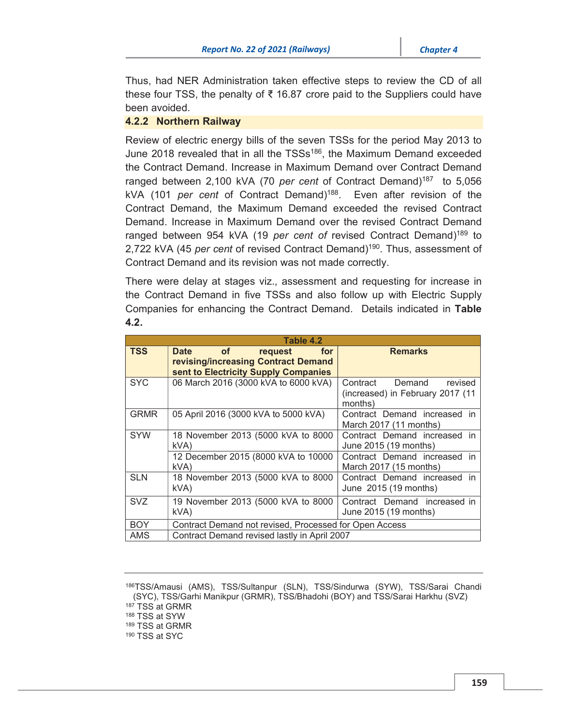Thus, had NER Administration taken effective steps to review the CD of all these four TSS, the penalty of  $\bar{\tau}$  16.87 crore paid to the Suppliers could have been avoided.

## 4.2.2 Northern Railway

Review of electric energy bills of the seven TSSs for the period May 2013 to June 2018 revealed that in all the TSSs<sup>186</sup>, the Maximum Demand exceeded the Contract Demand. Increase in Maximum Demand over Contract Demand ranged between 2,100 kVA (70 *per cent* of Contract Demand)<sup>187</sup> to 5,056 kVA (101 *per cent* of Contract Demand)188. Even after revision of the Contract Demand, the Maximum Demand exceeded the revised Contract Demand. Increase in Maximum Demand over the revised Contract Demand ranged between 954 kVA (19 *per cent of* revised Contract Demand)189 to 2,722 kVA (45 *per cent* of revised Contract Demand)190. Thus, assessment of Contract Demand and its revision was not made correctly.

There were delay at stages viz., assessment and requesting for increase in the Contract Demand in five TSSs and also follow up with Electric Supply Companies for enhancing the Contract Demand. Details indicated in Table 4.2.

| Table 4.2   |                                                                                                             |                                                                                       |  |
|-------------|-------------------------------------------------------------------------------------------------------------|---------------------------------------------------------------------------------------|--|
| <b>TSS</b>  | of<br>Date<br>request<br>for<br>revising/increasing Contract Demand<br>sent to Electricity Supply Companies | <b>Remarks</b>                                                                        |  |
| <b>SYC</b>  | 06 March 2016 (3000 kVA to 6000 kVA)                                                                        | Demand<br>Contract<br>revised<br>(increased) in February 2017 (11<br>months)          |  |
| <b>GRMR</b> | 05 April 2016 (3000 kVA to 5000 kVA)                                                                        | Contract Demand increased in<br>March $2017(11$ months)                               |  |
| <b>SYW</b>  | 18 November 2013 (5000 kVA to 8000<br>kVA)<br>12 December 2015 (8000 kVA to 10000                           | Contract Demand increased in<br>June 2015 (19 months)<br>Contract Demand increased in |  |
|             | kVA)                                                                                                        | March 2017 (15 months)                                                                |  |
| <b>SLN</b>  | 18 November 2013 (5000 kVA to 8000<br>kVA                                                                   | Contract Demand increased in<br>June 2015 (19 months)                                 |  |
| <b>SVZ</b>  | 19 November 2013 (5000 kVA to 8000<br>kVA)                                                                  | Contract Demand increased in<br>June 2015 (19 months)                                 |  |
| <b>BOY</b>  | Contract Demand not revised, Processed for Open Access                                                      |                                                                                       |  |
| AMS         | Contract Demand revised lastly in April 2007                                                                |                                                                                       |  |

<sup>186</sup>TSS/Amausi (AMS), TSS/Sultanpur (SLN), TSS/Sindurwa (SYW), TSS/Sarai Chandi (SYC), TSS/Garhi Manikpur (GRMR), TSS/Bhadohi (BOY) and TSS/Sarai Harkhu (SVZ)<br><sup>187</sup> TSS at GRMR<br><sup>188</sup> TSS at SYW<br><sup>189</sup> TSS at GRMR<br><sup>190</sup> TSS at SYC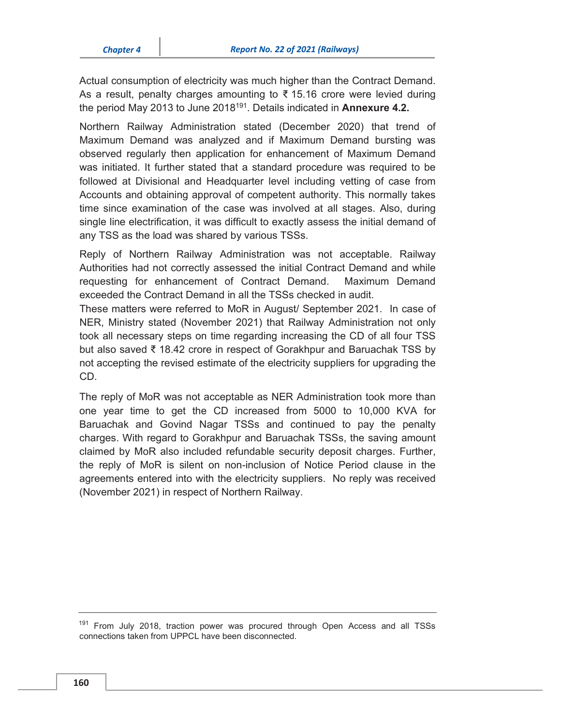Actual consumption of electricity was much higher than the Contract Demand. As a result, penalty charges amounting to  $\bar{\xi}$  15.16 crore were levied during the period May 2013 to June 2018<sup>191</sup>. Details indicated in **Annexure 4.2.** 

Northern Railway Administration stated (December 2020) that trend of Maximum Demand was analyzed and if Maximum Demand bursting was observed regularly then application for enhancement of Maximum Demand was initiated. It further stated that a standard procedure was required to be followed at Divisional and Headquarter level including vetting of case from Accounts and obtaining approval of competent authority. This normally takes time since examination of the case was involved at all stages. Also, during single line electrification, it was difficult to exactly assess the initial demand of any TSS as the load was shared by various TSSs.

Reply of Northern Railway Administration was not acceptable. Railway Authorities had not correctly assessed the initial Contract Demand and while requesting for enhancement of Contract Demand. Maximum Demand exceeded the Contract Demand in all the TSSs checked in audit.

These matters were referred to MoR in August/ September 2021. In case of NER, Ministry stated (November 2021) that Railway Administration not only took all necessary steps on time regarding increasing the CD of all four TSS but also saved ₹ 18.42 crore in respect of Gorakhpur and Baruachak TSS by not accepting the revised estimate of the electricity suppliers for upgrading the CD.

The reply of MoR was not acceptable as NER Administration took more than one year time to get the CD increased from 5000 to 10,000 KVA for Baruachak and Govind Nagar TSSs and continued to pay the penalty charges. With regard to Gorakhpur and Baruachak TSSs, the saving amount claimed by MoR also included refundable security deposit charges. Further, the reply of MoR is silent on non-inclusion of Notice Period clause in the agreements entered into with the electricity suppliers. No reply was received (November 2021) in respect of Northern Railway.

<sup>&</sup>lt;sup>191</sup> From July 2018, traction power was procured through Open Access and all TSSs connections taken from UPPCL have been disconnected.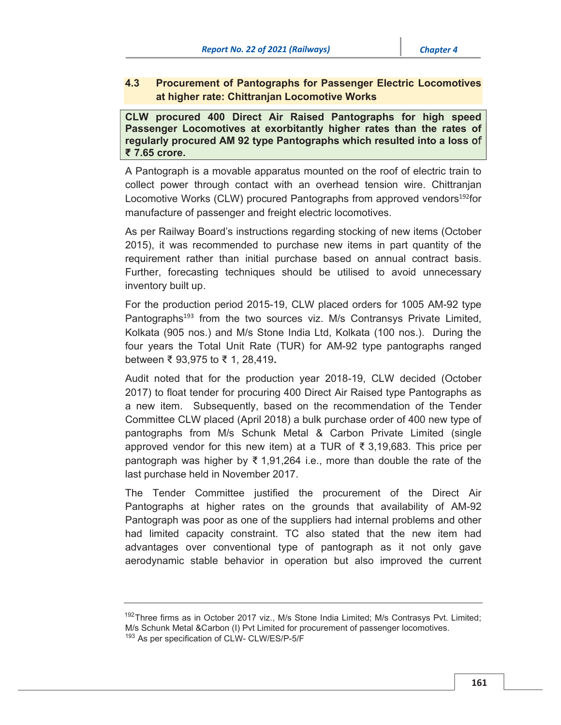# 4.3 Procurement of Pantographs for Passenger Electric Locomotives at higher rate: Chittranjan Locomotive Works

CLW procured 400 Direct Air Raised Pantographs for high speed Passenger Locomotives at exorbitantly higher rates than the rates of regularly procured AM 92 type Pantographs which resulted into a loss ₹ 7.65 crore.

A Pantograph is a movable apparatus mounted on the roof of electric train to collect power through contact with an overhead tension wire. Chittranjan Locomotive Works (CLW) procured Pantographs from approved vendors<sup>192</sup>for manufacture of passenger and freight electric locomotives.

As per Railway Board's instructions regarding stocking of new items (October 2015), it was recommended to purchase new items in part quantity of the requirement rather than initial purchase based on annual contract basis. Further, forecasting techniques should be utilised to avoid unnecessary inventory built up.

For the production period 2015-19, CLW placed orders for 1005 AM-92 type Pantographs<sup>193</sup> from the two sources viz. M/s Contransys Private Limited, Kolkata (905 nos.) and M/s Stone India Ltd, Kolkata (100 nos.). During the four years the Total Unit Rate (TUR) for AM-92 type pantographs ranged between ₹ 93,975 to ₹ 1, 28,419.

Audit noted that for the production year 2018-19, CLW decided (October 2017) to float tender for procuring 400 Direct Air Raised type Pantographs as a new item. Subsequently, based on the recommendation of the Tender Committee CLW placed (April 2018) a bulk purchase order of 400 new type of pantographs from M/s Schunk Metal & Carbon Private Limited (single approved vendor for this new item) at a TUR of ₹ 3,19,683. This price per pantograph was higher by  $\bar{\xi}$  1,91,264 i.e., more than double the rate of the last purchase held in November 2017.

The Tender Committee justified the procurement of the Direct Air Pantographs at higher rates on the grounds that availability of AM-92 Pantograph was poor as one of the suppliers had internal problems and other had limited capacity constraint. TC also stated that the new item had advantages over conventional type of pantograph as it not only gave aerodynamic stable behavior in operation but also improved the current

<sup>&</sup>lt;sup>192</sup>Three firms as in October 2017 viz., M/s Stone India Limited; M/s Contrasys Pvt. Limited; M/s Schunk Metal &Carbon (I) Pvt Limited for procurement of passenger locomotives. 193 As per specification of CLW- CLW/ES/P-5/F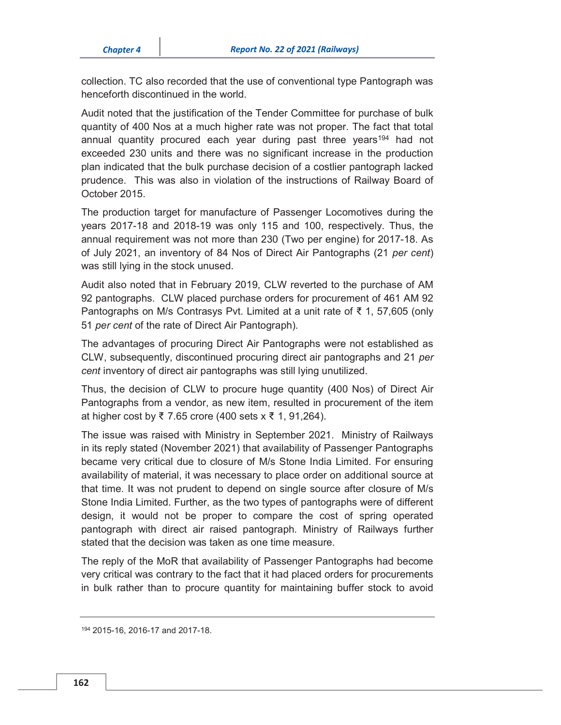collection. TC also recorded that the use of conventional type Pantograph was henceforth discontinued in the world.

Audit noted that the justification of the Tender Committee for purchase of bulk quantity of 400 Nos at a much higher rate was not proper. The fact that total annual quantity procured each year during past three years194 had not exceeded 230 units and there was no significant increase in the production plan indicated that the bulk purchase decision of a costlier pantograph lacked prudence. This was also in violation of the instructions of Railway Board of October 2015.

The production target for manufacture of Passenger Locomotives during the years 2017-18 and 2018-19 was only 115 and 100, respectively. Thus, the annual requirement was not more than 230 (Two per engine) for 2017-18. As of July 2021, an inventory of 84 Nos of Direct Air Pantographs (21 *per cent*) was still lying in the stock unused.

Audit also noted that in February 2019, CLW reverted to the purchase of AM 92 pantographs. CLW placed purchase orders for procurement of 461 AM 92 Pantographs on M/s Contrasys Pvt. Limited at a unit rate of ₹ 1, 57,605 (only 51 *per cent* of the rate of Direct Air Pantograph)*.*

The advantages of procuring Direct Air Pantographs were not established as CLW, subsequently, discontinued procuring direct air pantographs and 21 *per cent* inventory of direct air pantographs was still lying unutilized.

Thus, the decision of CLW to procure huge quantity (400 Nos) of Direct Air Pantographs from a vendor, as new item, resulted in procurement of the item at higher cost by ₹ 7.65 crore (400 sets x ₹ 1, 91,264).

The issue was raised with Ministry in September 2021. Ministry of Railways in its reply stated (November 2021) that availability of Passenger Pantographs became very critical due to closure of M/s Stone India Limited. For ensuring availability of material, it was necessary to place order on additional source at that time. It was not prudent to depend on single source after closure of M/s Stone India Limited. Further, as the two types of pantographs were of different design, it would not be proper to compare the cost of spring operated pantograph with direct air raised pantograph. Ministry of Railways further stated that the decision was taken as one time measure.

The reply of the MoR that availability of Passenger Pantographs had become very critical was contrary to the fact that it had placed orders for procurements in bulk rather than to procure quantity for maintaining buffer stock to avoid

<sup>194 2015-16, 2016-17</sup> and 2017-18.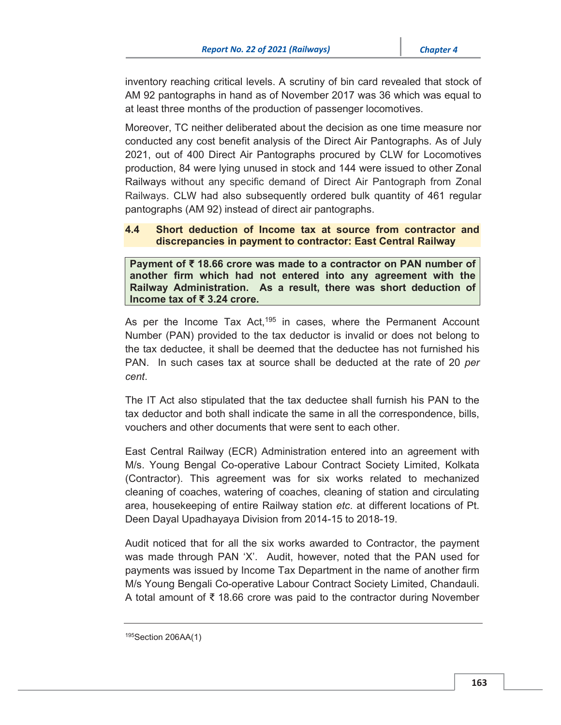inventory reaching critical levels. A scrutiny of bin card revealed that stock of AM 92 pantographs in hand as of November 2017 was 36 which was equal to at least three months of the production of passenger locomotives.

Moreover, TC neither deliberated about the decision as one time measure nor conducted any cost benefit analysis of the Direct Air Pantographs. As of July 2021, out of 400 Direct Air Pantographs procured by CLW for Locomotives production, 84 were lying unused in stock and 144 were issued to other Zonal Railways without any specific demand of Direct Air Pantograph from Zonal Railways. CLW had also subsequently ordered bulk quantity of 461 regular pantographs (AM 92) instead of direct air pantographs.

## 4.4 Short deduction of Income tax at source from contractor and discrepancies in payment to contractor: East Central Railway

Payment of ₹ 18.66 crore was made to a contractor on PAN number of another firm which had not entered into any agreement with the Railway Administration. As a result, there was short deduction of Income tax of ₹ 3.24 crore.

As per the Income Tax Act,<sup>195</sup> in cases, where the Permanent Account Number (PAN) provided to the tax deductor is invalid or does not belong to the tax deductee, it shall be deemed that the deductee has not furnished his PAN. In such cases tax at source shall be deducted at the rate of 20 *per cent*.

The IT Act also stipulated that the tax deductee shall furnish his PAN to the tax deductor and both shall indicate the same in all the correspondence, bills, vouchers and other documents that were sent to each other.

East Central Railway (ECR) Administration entered into an agreement with M/s. Young Bengal Co-operative Labour Contract Society Limited, Kolkata (Contractor). This agreement was for six works related to mechanized cleaning of coaches, watering of coaches, cleaning of station and circulating area, housekeeping of entire Railway station *etc*. at different locations of Pt. Deen Dayal Upadhayaya Division from 2014-15 to 2018-19.

Audit noticed that for all the six works awarded to Contractor, the payment was made through PAN 'X'. Audit, however, noted that the PAN used for payments was issued by Income Tax Department in the name of another firm M/s Young Bengali Co-operative Labour Contract Society Limited, Chandauli. A total amount of ₹ 18.66 crore was paid to the contractor during November

<sup>195</sup>Section 206AA(1)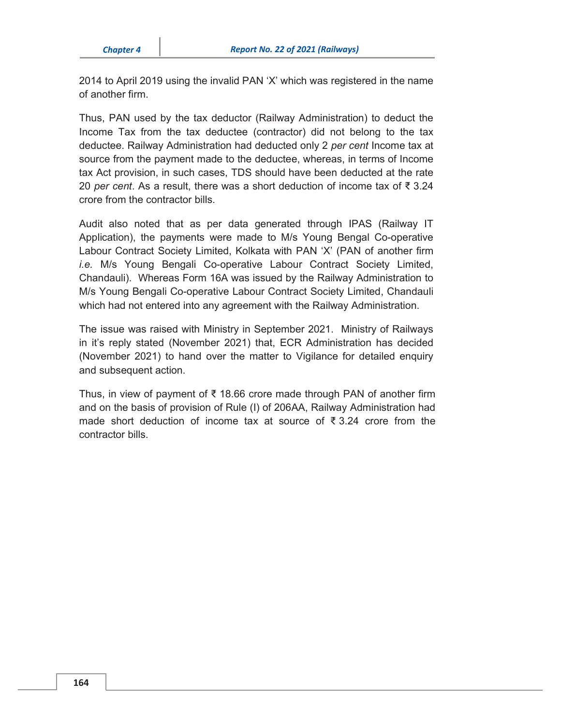2014 to April 2019 using the invalid PAN 'X' which was registered in the name of another firm.

Thus, PAN used by the tax deductor (Railway Administration) to deduct the Income Tax from the tax deductee (contractor) did not belong to the tax deductee. Railway Administration had deducted only 2 *per cent* Income tax at source from the payment made to the deductee, whereas, in terms of Income tax Act provision, in such cases, TDS should have been deducted at the rate 20 *per cent*. As a result, there was a short deduction of income tax of ₹ 3.24 crore from the contractor bills.

Audit also noted that as per data generated through IPAS (Railway IT Application), the payments were made to M/s Young Bengal Co-operative Labour Contract Society Limited, Kolkata with PAN 'X' (PAN of another firm *i.e.* M/s Young Bengali Co-operative Labour Contract Society Limited, Chandauli). Whereas Form 16A was issued by the Railway Administration to M/s Young Bengali Co-operative Labour Contract Society Limited, Chandauli which had not entered into any agreement with the Railway Administration.

The issue was raised with Ministry in September 2021. Ministry of Railways in it's reply stated (November 2021) that, ECR Administration has decided (November 2021) to hand over the matter to Vigilance for detailed enquiry and subsequent action.

Thus, in view of payment of ₹ 18.66 crore made through PAN of another firm and on the basis of provision of Rule (I) of 206AA, Railway Administration had made short deduction of income tax at source of  $\overline{3}$  3.24 crore from the contractor bills.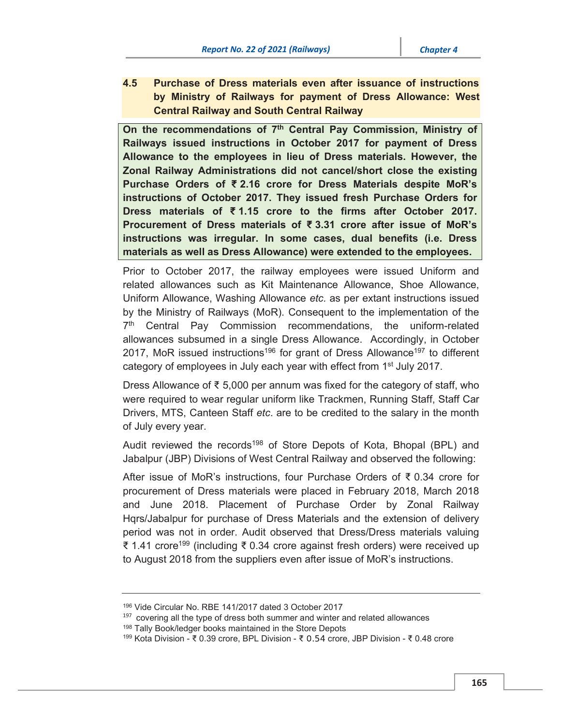4.5 Purchase of Dress materials even after issuance of instructions by Ministry of Railways for payment of Dress Allowance: West Central Railway and South Central Railway

On the recommendations of 7<sup>th</sup> Central Pay Commission, Ministry of Railways issued instructions in October 2017 for payment of Dress Allowance to the employees in lieu of Dress materials. However, the Zonal Railway Administrations did not cancel/short close the existing Purchase Orders of ₹ 2.16 crore for Dress Materials despite MoR's instructions of October 2017. They issued fresh Purchase Orders for Dress materials of ₹ 1.15 crore to the firms after October 2017. Procurement of Dress materials of ₹ 3.31 crore after issue of MoR's instructions was irregular. In some cases, dual benefits (i.e. Dress materials as well as Dress Allowance) were extended to the employees.

Prior to October 2017, the railway employees were issued Uniform and related allowances such as Kit Maintenance Allowance, Shoe Allowance, Uniform Allowance, Washing Allowance *etc.* as per extant instructions issued by the Ministry of Railways (MoR). Consequent to the implementation of the 7<sup>th</sup> Central Pay Commission recommendations, the uniform-related allowances subsumed in a single Dress Allowance. Accordingly, in October 2017, MoR issued instructions<sup>196</sup> for grant of Dress Allowance<sup>197</sup> to different category of employees in July each year with effect from 1<sup>st</sup> July 2017.

Dress Allowance of ₹ 5,000 per annum was fixed for the category of staff, who were required to wear regular uniform like Trackmen, Running Staff, Staff Car Drivers, MTS, Canteen Staff *etc*. are to be credited to the salary in the month of July every year.

Audit reviewed the records<sup>198</sup> of Store Depots of Kota, Bhopal (BPL) and Jabalpur (JBP) Divisions of West Central Railway and observed the following:

After issue of MoR's instructions, four Purchase Orders of ₹ 0.34 crore for procurement of Dress materials were placed in February 2018, March 2018 and June 2018. Placement of Purchase Order by Zonal Railway Hqrs/Jabalpur for purchase of Dress Materials and the extension of delivery period was not in order. Audit observed that Dress/Dress materials valuing ₹ 1.41 crore199 (including ₹ 0.34 crore against fresh orders) were received up to August 2018 from the suppliers even after issue of MoR's instructions.

<sup>196</sup> Vide Circular No. RBE 141/2017 dated 3 October 2017

 $197$  covering all the type of dress both summer and winter and related allowances<br> $198$  Tally Book/ledger books maintained in the Store Depots

<sup>199</sup> Kota Division - ₹ 0.39 crore, BPL Division - ₹ 0.54 crore, JBP Division - ₹ 0.48 crore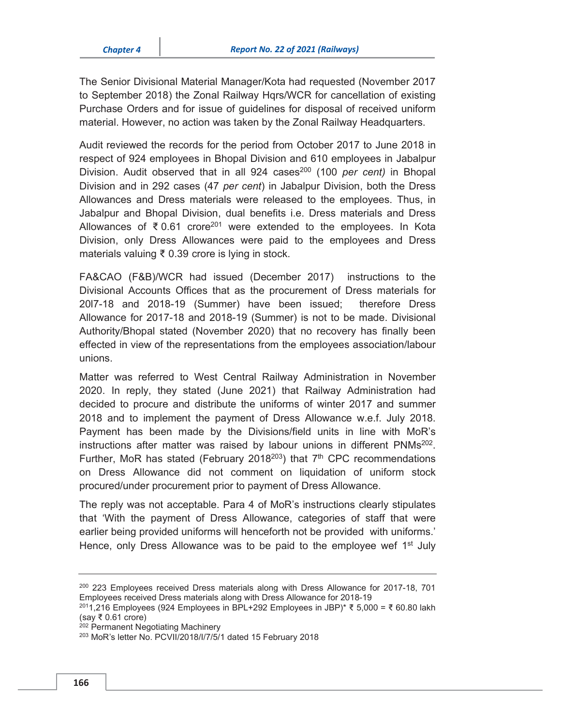The Senior Divisional Material Manager/Kota had requested (November 2017 to September 2018) the Zonal Railway Hqrs/WCR for cancellation of existing Purchase Orders and for issue of guidelines for disposal of received uniform material. However, no action was taken by the Zonal Railway Headquarters.

Audit reviewed the records for the period from October 2017 to June 2018 in respect of 924 employees in Bhopal Division and 610 employees in Jabalpur Division. Audit observed that in all 924 cases<sup>200</sup> (100 *per cent*) in Bhopal Division and in 292 cases (47 *per cent*) in Jabalpur Division, both the Dress Allowances and Dress materials were released to the employees. Thus, in Jabalpur and Bhopal Division, dual benefits i.e. Dress materials and Dress Allowances of ₹ 0.61 crore<sup>201</sup> were extended to the employees. In Kota Division, only Dress Allowances were paid to the employees and Dress materials valuing ₹ 0.39 crore is lying in stock.

FA&CAO (F&B)/WCR had issued (December 2017) instructions to the Divisional Accounts Offices that as the procurement of Dress materials for 20l7-18 and 2018-19 (Summer) have been issued; therefore Dress Allowance for 2017-18 and 2018-19 (Summer) is not to be made. Divisional Authority/Bhopal stated (November 2020) that no recovery has finally been effected in view of the representations from the employees association/labour unions.

Matter was referred to West Central Railway Administration in November 2020. In reply, they stated (June 2021) that Railway Administration had decided to procure and distribute the uniforms of winter 2017 and summer 2018 and to implement the payment of Dress Allowance w.e.f. July 2018. Payment has been made by the Divisions/field units in line with MoR's instructions after matter was raised by labour unions in different  $PMMs^{202}$ . Further, MoR has stated (February 2018<sup>203</sup>) that  $7<sup>th</sup>$  CPC recommendations on Dress Allowance did not comment on liquidation of uniform stock procured/under procurement prior to payment of Dress Allowance.

The reply was not acceptable. Para 4 of MoR's instructions clearly stipulates that 'With the payment of Dress Allowance, categories of staff that were earlier being provided uniforms will henceforth not be provided with uniforms.' Hence, only Dress Allowance was to be paid to the employee wef  $1<sup>st</sup>$  July

<sup>200 223</sup> Employees received Dress materials along with Dress Allowance for 2017-18, 701 Employees received Dress materials along with Dress Allowance for 2018-19 2011,216 Employees (924 Employees in BPL+292 Employees in JBP)\* ₹ 5,000 = ₹ 60.80 lakh

<sup>(</sup>say ₹ 0.61 crore)

<sup>&</sup>lt;sup>202</sup> Permanent Negotiating Machinery

<sup>203</sup> MoR's letter No. PCVII/2018/I/7/5/1 dated 15 February 2018